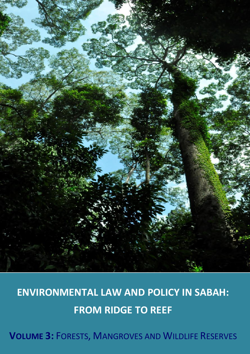

# **ENVIRONMENTAL LAW AND POLICY IN SABAH: FROM RIDGE TO REEF**

**VOLUME 3:** FORESTS, MANGROVES AND WILDLIFE RESERVES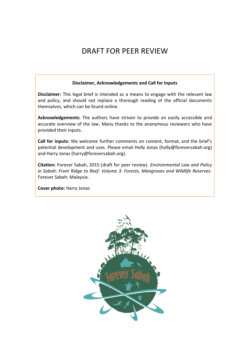## DRAFT FOR PEER REVIEW

#### **Disclaimer, Acknowledgements and Call for Inputs**

**Disclaimer:** This legal brief is intended as a means to engage with the relevant law and policy, and should not replace a thorough reading of the official documents themselves, which can be found online.

**Acknowledgements:** The authors have striven to provide an easily accessible and accurate overview of the law. Many thanks to the anonymous reviewers who have provided their inputs.

**Call for inputs:** We welcome further comments on content, format, and the brief's potential development and uses. Please email Holly Jonas (holly@foreversabah.org) and Harry Jonas (harry@foreversabah.org).

**Citation:** Forever Sabah, 2015 (draft for peer review). *Environmental Law and Policy in Sabah: From Ridge to Reef. Volume 3: Forests, Mangroves and Wildlife Reserves*. Forever Sabah: Malaysia.

**Cover photo:** Harry Jonas

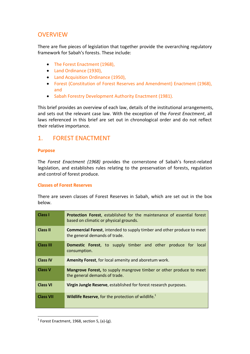## **OVERVIEW**

There are five pieces of legislation that together provide the overarching regulatory framework for Sabah's forests. These include:

- The Forest Enactment (1968),
- Land Ordinance (1930),
- Land Acquisition Ordinance (1950),
- Forest (Constitution of Forest Reserves and Amendment) Enactment (1968), and
- Sabah Forestry Development Authority Enactment (1981).

This brief provides an overview of each law, details of the institutional arrangements, and sets out the relevant case law. With the exception of the *Forest Enactment*, all laws referenced in this brief are set out in chronological order and do not reflect their relative importance.

## 1. FOREST ENACTMENT

#### **Purpose**

The *Forest Enactment (1968)* provides the cornerstone of Sabah's forest-related legislation, and establishes rules relating to the preservation of forests, regulation and control of forest produce.

#### **Classes of Forest Reserves**

There are seven classes of Forest Reserves in Sabah, which are set out in the box below.

| Class I          | <b>Protection Forest</b> , established for the maintenance of essential forest<br>based on climatic or physical grounds. |
|------------------|--------------------------------------------------------------------------------------------------------------------------|
| <b>Class II</b>  | <b>Commercial Forest, intended to supply timber and other produce to meet</b><br>the general demands of trade.           |
| <b>Class III</b> | <b>Domestic Forest</b> , to supply timber and other produce for local<br>consumption.                                    |
| <b>Class IV</b>  | <b>Amenity Forest, for local amenity and aboretum work.</b>                                                              |
| <b>Class V</b>   | <b>Mangrove Forest, to supply mangrove timber or other produce to meet</b><br>the general demands of trade.              |
| <b>Class VI</b>  | Virgin Jungle Reserve, established for forest research purposes.                                                         |
| <b>Class VII</b> | Wildlife Reserve, for the protection of wildlife. <sup>1</sup>                                                           |

l  $^1$  Forest Enactment, 1968, section 5, (a)-(g).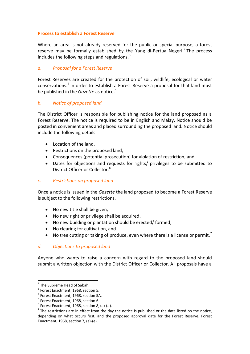#### **Process to establish a Forest Reserve**

Where an area is not already reserved for the public or special purpose, a forest reserve may be formally established by the Yang di-Pertua Negeri.<sup>2</sup> The process includes the following steps and regulations.<sup>3</sup>

#### *a. Proposal for a Forest Reserve*

Forest Reserves are created for the protection of soil, wildlife, ecological or water conservations.<sup>4</sup> In order to establish a Forest Reserve a proposal for that land must be published in the *Gazette* as notice. 5

#### *b. Notice of proposed land*

The District Officer is responsible for publishing notice for the land proposed as a Forest Reserve. The notice is required to be in English and Malay. Notice should be posted in convenient areas and placed surrounding the proposed land. Notice should include the following details:

- Location of the land,
- Restrictions on the proposed land,
- Consequences (potential prosecution) for violation of restriction, and
- Dates for objections and requests for rights/ privileges to be submitted to District Officer or Collector.<sup>6</sup>

#### *c. Restrictions on proposed land*

Once a notice is issued in the *Gazette* the land proposed to become a Forest Reserve is subject to the following restrictions.

- No new title shall be given,
- No new right or privilege shall be acquired,
- No new building or plantation should be erected/ formed,
- No clearing for cultivation, and
- No tree cutting or taking of produce, even where there is a license or permit.<sup>7</sup>

#### *d. Objections to proposed land*

Anyone who wants to raise a concern with regard to the proposed land should submit a written objection with the District Officer or Collector. All proposals have a

l

<sup>&</sup>lt;sup>2</sup> The Supreme Head of Sabah.

 $3$  Forest Enactment, 1968, section 5.

<sup>&</sup>lt;sup>4</sup> Forest Enactment, 1968, section 5A.

<sup>&</sup>lt;sup>5</sup> Forest Enactment, 1968, section 6.

 $^6$  Forest Enactment, 1968, section 8, (a)-(d).

 $<sup>7</sup>$  The restrictions are in effect from the day the notice is published or the date listed on the notice,</sup> depending on what occurs first, and the proposed approval date for the Forest Reserve. Forest Enactment, 1968, section 7, (a)-(e).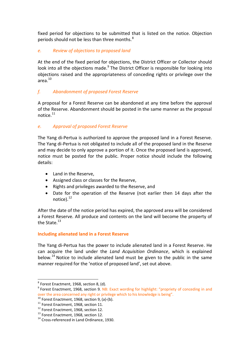fixed period for objections to be submitted that is listed on the notice. Objection periods should not be less than three months. $8<sup>8</sup>$ 

#### *e. Review of objections to proposed land*

At the end of the fixed period for objections, the District Officer or Collector should look into all the objections made.<sup>9</sup> The District Officer is responsible for looking into objections raised and the appropriateness of conceding rights or privilege over the area. 10

#### *f. Abandonment of proposed Forest Reserve*

A proposal for a Forest Reserve can be abandoned at any time before the approval of the Reserve. Abandonment should be posted in the same manner as the proposal notice.<sup>11</sup>

#### *e. Approval of proposed Forest Reserve*

The Yang di-Pertua is authorized to approve the proposed land in a Forest Reserve. The Yang di-Pertua is not obligated to include all of the proposed land in the Reserve and may decide to only approve a portion of it. Once the proposed land is approved, notice must be posted for the public. Proper notice should include the following details:

- Land in the Reserve,
- Assigned class or classes for the Reserve,
- Rights and privileges awarded to the Reserve, and
- Date for the operation of the Reserve (not earlier then 14 days after the notice).<sup>12</sup>

After the date of the notice period has expired, the approved area will be considered a Forest Reserve. All produce and contents on the land will become the property of the State. $13$ 

#### **Including alienated land in a Forest Reserve**

The Yang di-Pertua has the power to include alienated land in a Forest Reserve. He can acquire the land under the *Land Acquisition Ordinance*, which is explained below.<sup>14</sup> Notice to include alienated land must be given to the public in the same manner required for the 'notice of proposed land', set out above.

 $^8$  Forest Enactment, 1968, section 8, (d).

<sup>&</sup>lt;sup>9</sup> Forest Enactment, 1968, section 9. NB: Exact wording for highlight: "propriety of conceding in and over the area concerned any right or privilege which to his knowledge is being".

 $10$  Forest Enactment, 1968, section 9, (a)-(b).

<sup>&</sup>lt;sup>11</sup> Forest Enactment, 1968, section 11.

<sup>&</sup>lt;sup>12</sup> Forest Enactment, 1968, section 12.

<sup>&</sup>lt;sup>13</sup> Forest Enactment, 1968, section 12.

<sup>&</sup>lt;sup>14</sup> Cross-referenced in Land Ordinance, 1930.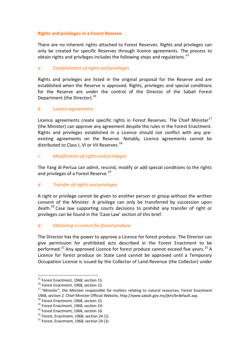#### **Rights and privileges in a Forest Reserve**

There are no inherent rights attached to Forest Reserves. Rights and privileges can only be created for specific Reserves through licence agreements. The process to obtain rights and privileges includes the following steps and regulations.<sup>15</sup>

#### *a. Establishment of rights and privileges*

Rights and privileges are listed in the original proposal for the Reserve and are established when the Reserve is approved. Rights, privileges and special conditions for the Reserve are under the control of the Director of the Sabah Forest Department (the Director).<sup>16</sup>

#### *b. Licence agreements*

Licence agreements create specific rights in Forest Reserves. The Chief Minister<sup>17</sup> (the Minister) can approve any agreement despite the rules in the Forest Enactment. Rights and privileges established in a Licence should not conflict with any preexisting agreements on the Reserve. Notably, Licence agreements cannot be distributed to Class I, VI or VII Reserves.<sup>18</sup>

#### *c. Modification of rights and privileges*

The Yang di-Pertua can admit, rescind, modify or add special conditions to the rights and privileges of a Forest Reserve.<sup>19</sup>

#### *d. Transfer of rights and privileges*

A right or privilege cannot be given to another person or group without the written consent of the Minister. A privilege can only be transferred by succession upon death.<sup>20</sup> Case law supporting courts decisions to prohibit any transfer of right or privileges can be found in the 'Case Law' section of this brief.

#### *d. Obtaining a Licence for forest produce*

The Director has the power to approve a Licence for forest produce. The Director can give permission for prohibited acts described in the Forest Enactment to be performed.<sup>21</sup> Any approved Licence for forest produce cannot exceed five years.<sup>22</sup> A Licence for forest produce on State Land cannot be approved until a Temporary Occupation License is issued by the Collector of Land Revenue (the Collector) under

<sup>&</sup>lt;sup>15</sup> Forest Enactment, 1968, section 15.

<sup>&</sup>lt;sup>16</sup> Forest Enactment, 1968, section 15.

<sup>&</sup>lt;sup>17</sup> "Minister", the Minister responsible for matters relating to natural resources, Forest Enactment 1968, section 2. Chief Minister Official Website[, http://www.sabah.gov.my/jkm/brdefault.asp.](http://www.sabah.gov.my/jkm/brdefault.asp)

<sup>&</sup>lt;sup>18</sup> Forest Enactment, 1968, section 15.

<sup>&</sup>lt;sup>19</sup> Forest Enactment, 1968, section 14.

<sup>&</sup>lt;sup>20</sup> Forest Enactment, 1968, section 16.

 $21$  Forest, Enactment, 1968, section 24 (1).

 $22$  Forest. Enactment, 1968, section 24 (3).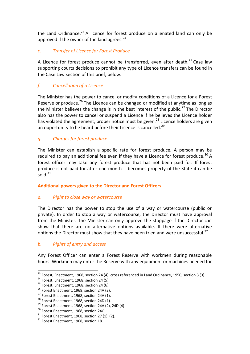the Land Ordinance.<sup>23</sup> A licence for forest produce on alienated land can only be approved if the owner of the land agrees. $24$ 

#### *e. Transfer of Licence for Forest Produce*

A Licence for forest produce cannot be transferred, even after death. $^{25}$  Case law supporting courts decisions to prohibit any type of Licence transfers can be found in the Case Law section of this brief, below.

#### *f. Cancellation of a Licence*

The Minister has the power to cancel or modify conditions of a Licence for a Forest Reserve or produce.<sup>26</sup> The Licence can be changed or modified at anytime as long as the Minister believes the change is in the best interest of the public.<sup>27</sup> The Director also has the power to cancel or suspend a Licence if he believes the Licence holder has violated the agreement, proper notice must be given.<sup>28</sup> Licence holders are given an opportunity to be heard before their Licence is cancelled.<sup>29</sup>

#### *g. Charges for forest produce*

The Minister can establish a specific rate for forest produce. A person may be required to pay an additional fee even if they have a Licence for forest produce.<sup>30</sup> A forest officer may take any forest produce that has not been paid for. If forest produce is not paid for after one month it becomes property of the State it can be sold  $31$ 

#### **Additional powers given to the Director and Forest Officers**

#### *a. Right to close way or watercourse*

The Director has the power to stop the use of a way or watercourse (public or private). In order to stop a way or watercourse, the Director must have approval from the Minister. The Minister can only approve the stoppage if the Director can show that there are no alternative options available. If there were alternative options the Director must show that they have been tried and were unsuccessful.<sup>32</sup>

#### *b. Rights of entry and access*

Any Forest Officer can enter a Forest Reserve with workmen during reasonable hours. Workmen may enter the Reserve with any equipment or machines needed for

 $^{23}$  Forest, Enactment, 1968, section 24 (4), cross referenced in Land Ordinance, 1950, section 3 (3).

 $24$  Forest, Enactment, 1968, section 24 (5).

 $25$  Forest, Enactment, 1968, section 24 (6).

 $26$  Forest Enactment, 1968, section 24A (2).

 $27$  Forest Enactment, 1968, section 24A (1).

 $^{28}$  Forest Enactment, 1968, section 24D (1).

<sup>&</sup>lt;sup>29</sup> Forest Enactment, 1968, section 24A (2), 24D (4).

<sup>&</sup>lt;sup>30</sup> Forest Enactment, 1968, section 24C.

 $31$  Forest Enactment, 1968, section 27 (1), (2).

<sup>&</sup>lt;sup>32</sup> Forest Enactment, 1968, section 18.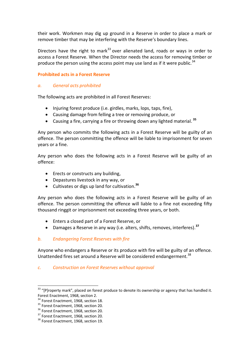their work. Workmen may dig up ground in a Reserve in order to place a mark or remove timber that may be interfering with the Reserve's boundary lines.

Directors have the right to mark<sup>33</sup> over alienated land, roads or ways in order to access a Forest Reserve. When the Director needs the access for removing timber or produce the person using the access point may use land as if it were public.<sup>34</sup>

#### **Prohibited acts in a Forest Reserve**

#### *a. General acts prohibited*

The following acts are prohibited in all Forest Reserves:

- Injuring forest produce (i.e. girdles, marks, lops, taps, fire),
- Causing damage from felling a tree or removing produce, or
- Causing a fire, carrying a fire or throwing down any lighted material. **35**

Any person who commits the following acts in a Forest Reserve will be guilty of an offence. The person committing the offence will be liable to imprisonment for seven years or a fine.

Any person who does the following acts in a Forest Reserve will be guilty of an offence:

- Erects or constructs any building,
- Depastures livestock in any way, or
- Cultivates or digs up land for cultivation. **36**

Any person who does the following acts in a Forest Reserve will be guilty of an offence. The person committing the offence will liable to a fine not exceeding fifty thousand ringgit or imprisonment not exceeding three years, or both.

- Enters a closed part of a Forest Reserve, or
- Damages a Reserve in any way (i.e. alters, shifts, removes, interferes). **37**

#### *b. Endangering Forest Reserves with fire*

Anyone who endangers a Reserve or its produce with fire will be guilty of an offence. Unattended fires set around a Reserve will be considered endangerment.<sup>38</sup>

#### *c. Construction on Forest Reserves without approval*

 $33$  "[P]roperty mark", placed on forest produce to denote its ownership or agency that has handled it. Forest Enactment, 1968, section 2.

<sup>&</sup>lt;sup>34</sup> Forest Enactment, 1968, section 18.

<sup>&</sup>lt;sup>35</sup> Forest Enactment, 1968, section 20.

<sup>&</sup>lt;sup>36</sup> Forest Enactment, 1968, section 20.

<sup>&</sup>lt;sup>37</sup> Forest Enactment, 1968, section 20.

<sup>&</sup>lt;sup>38</sup> Forest Enactment, 1968, section 19.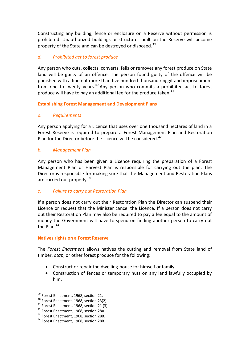Constructing any building, fence or enclosure on a Reserve without permission is prohibited. Unauthorized buildings or structures built on the Reserve will become property of the State and can be destroyed or disposed.<sup>39</sup>

#### *d. Prohibited act to forest produce*

Any person who cuts, collects, converts, fells or removes any forest produce on State land will be guilty of an offence. The person found guilty of the offence will be punished with a fine not more than five hundred thousand ringgit and imprisonment from one to twenty years.<sup>40</sup> Any person who commits a prohibited act to forest produce will have to pay an additional fee for the produce taken. $41$ 

**Establishing Forest Management and Development Plans**

#### *a. Requirements*

Any person applying for a Licence that uses over one thousand hectares of land in a Forest Reserve is required to prepare a Forest Management Plan and Restoration Plan for the Director before the Licence will be considered.<sup>42</sup>

#### *b. Management Plan*

Any person who has been given a Licence requiring the preparation of a Forest Management Plan or Harvest Plan is responsible for carrying out the plan. The Director is responsible for making sure that the Management and Restoration Plans are carried out properly. <sup>43</sup>

#### *c. Failure to carry out Restoration Plan*

If a person does not carry out their Restoration Plan the Director can suspend their Licence or request that the Minister cancel the Licence. If a person does not carry out their Restoration Plan may also be required to pay a fee equal to the amount of money the Government will have to spend on finding another person to carry out the Plan.<sup>44</sup>

#### **Natives rights on a Forest Reserve**

The *Forest Enactment* allows natives the cutting and removal from State land of timber, *atap*, or other forest produce for the following:

- Construct or repair the dwelling-house for himself or family,
- Construction of fences or temporary huts on any land lawfully occupied by him,

<sup>&</sup>lt;sup>39</sup> Forest Enactment, 1968, section 21.

<sup>&</sup>lt;sup>40</sup> Forest Enactment, 1968, section 23(2).

<sup>41</sup> Forest Enactment, 1968, section 21 (3).

<sup>42</sup> Forest Enactment, 1968, section 28A.

<sup>43</sup> Forest Enactment, 1968, section 28B.

<sup>44</sup> Forest Enactment, 1968, section 28B.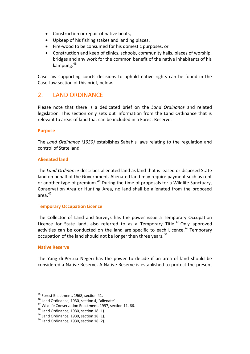- Construction or repair of native boats,
- Upkeep of his fishing stakes and landing places,
- Fire-wood to be consumed for his domestic purposes, or
- Construction and keep of clinics, schools, community halls, places of worship, bridges and any work for the common benefit of the native inhabitants of his kampung. 45

Case law supporting courts decisions to uphold native rights can be found in the Case Law section of this brief, below.

## 2. LAND ORDINANCE

Please note that there is a dedicated brief on the *Land Ordinance* and related legislation. This section only sets out information from the Land Ordinance that is relevant to areas of land that can be included in a Forest Reserve.

#### **Purpose**

The *Land Ordinance (1930)* establishes Sabah's laws relating to the regulation and control of State land.

#### **Alienated land**

The *Land Ordinance* describes alienated land as land that is leased or disposed State land on behalf of the Government. Alienated land may require payment such as rent or another type of premium.<sup>46</sup> During the time of proposals for a Wildlife Sanctuary, Conservation Area or Hunting Area, no land shall be alienated from the proposed area $47$ 

#### **Temporary Occupation Licence**

The Collector of Land and Surveys has the power issue a Temporary Occupation Licence for State land, also referred to as a Temporary Title.<sup>48</sup> Only approved activities can be conducted on the land are specific to each Licence.<sup>49</sup> Temporary occupation of the land should not be longer then three vears.<sup>50</sup>

#### **Native Reserve**

 $\overline{\phantom{a}}$ 

The Yang di-Pertua Negeri has the power to decide if an area of land should be considered a Native Reserve. A Native Reserve is established to protect the present

<sup>&</sup>lt;sup>45</sup> Forest Enactment, 1968, section 41.

<sup>46</sup> Land Ordinance, 1930, section 4, "alienate".

<sup>47</sup> Wildlife Conservation Enactment, 1997, section 11, 66.

<sup>&</sup>lt;sup>48</sup> Land Ordinance, 1930, section 18 (1).

<sup>&</sup>lt;sup>49</sup> Land Ordinance, 1930, section 18 (1).

 $50$  Land Ordinance, 1930, section 18 (2).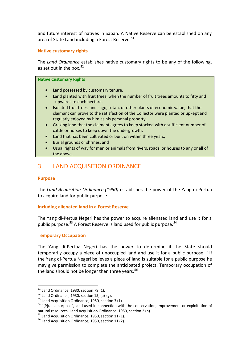and future interest of natives in Sabah. A Native Reserve can be established on any area of State Land including a Forest Reserve.<sup>51</sup>

#### **Native customary rights**

The *Land Ordinance* establishes native customary rights to be any of the following, as set out in the box. $52$ 

#### **Native Customary Rights**

- Land possessed by customary tenure,
- Land planted with fruit trees, when the number of fruit trees amounts to fifty and upwards to each hectare,
- Isolated fruit trees, and sago, rotan, or other plants of economic value, that the claimant can prove to the satisfaction of the Collector were planted or upkept and regularly enjoyed by him as his personal property,
- Grazing land that the claimant agrees to keep stocked with a sufficient number of cattle or horses to keep down the undergrowth,
- Land that has been cultivated or built on within three years,
- Burial grounds or shrines, and
- Usual rights of way for men or animals from rivers, roads, or houses to any or all of the above.

## 3. LAND ACQUISITION ORDINANCE

#### **Purpose**

 $\overline{\phantom{a}}$ 

The *Land Acquisition Ordinance (1950)* establishes the power of the Yang di-Pertua to acquire land for public purpose.

#### **Including alienated land in a Forest Reserve**

The Yang di-Pertua Negeri has the power to acquire alienated land and use it for a public purpose.<sup>53</sup> A Forest Reserve is land used for public purpose.<sup>54</sup>

#### **Temporary Occupation**

The Yang di-Pertua Negeri has the power to determine if the State should temporarily occupy a piece of unoccupied land and use it for a public purpose.<sup>55</sup> If the Yang di-Pertua Negeri believes a piece of land is suitable for a public purpose he may give permission to complete the anticipated project. Temporary occupation of the land should not be longer then three years. $56$ 

 $51$  Land Ordinance, 1930, section 78 (1).

 $52$  Land Ordinance, 1930, section 15, (a)-(g).

<sup>&</sup>lt;sup>53</sup> Land Acquisition Ordinance, 1950, section 3 (1).

<sup>&</sup>lt;sup>54</sup> "[P]ublic purpose", land used in connection with the conservation, improvement or exploitation of natural resources. Land Acquisition Ordinance, 1950, section 2 (h).

 $55$  Land Acquisition Ordinance, 1950, section 11 (1).

<sup>56</sup> Land Acquisition Ordinance, 1950, section 11 (2).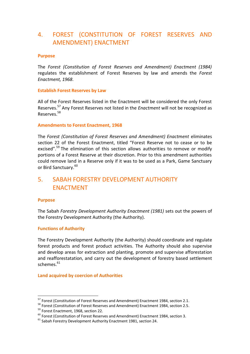## 4. FOREST (CONSTITUTION OF FOREST RESERVES AND AMENDMENT) ENACTMENT

#### **Purpose**

The *Forest (Constitution of Forest Reserves and Amendment) Enactment (1984)* regulates the establishment of Forest Reserves by law and amends the *Forest Enactment, 1968*.

#### **Establish Forest Reserves by Law**

All of the Forest Reserves listed in the Enactment will be considered the only Forest Reserves.<sup>57</sup> Any Forest Reserves not listed in the *Enactment* will not be recognized as Reserves.<sup>58</sup>

#### **Amendments to Forest Enactment, 1968**

The *Forest (Constitution of Forest Reserves and Amendment) Enactment* eliminates section 22 of the Forest Enactment, titled "Forest Reserve not to cease or to be excised".<sup>59</sup> The elimination of this section allows authorities to remove or modify portions of a Forest Reserve at their discretion. Prior to this amendment authorities could remove land in a Reserve only if it was to be used as a Park, Game Sanctuary or Bird Sanctuary.<sup>60</sup>

## 5. SABAH FORESTRY DEVELOPMENT AUTHORITY ENACTMENT

#### **Purpose**

 $\overline{\phantom{a}}$ 

The Sabah *Forestry Development Authority Enactment (1981)* sets out the powers of the Forestry Development Authority (the Authority).

#### **Functions of Authority**

The Forestry Development Authority (the Authority) should coordinate and regulate forest products and forest product activities. The Authority should also supervise and develop areas for extraction and planting, promote and supervise afforestation and reafforestatation, and carry out the development of forestry based settlement schemes.<sup>61</sup>

#### **Land acquired by coercion of Authorities**

<sup>&</sup>lt;sup>57</sup> Forest (Constitution of Forest Reserves and Amendment) Enactment 1984, section 2.1.

<sup>58</sup> Forest (Constitution of Forest Reserves and Amendment) Enactment 1984, section 2.5.

<sup>&</sup>lt;sup>59</sup> Forest Enactment, 1968, section 22.

 $^{60}$  Forest (Constitution of Forest Reserves and Amendment) Enactment 1984, section 3.

 $61$  Sabah Forestry Development Authority Enactment 1981, section 24.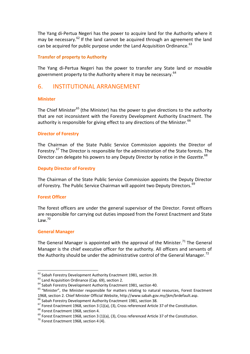The Yang di-Pertua Negeri has the power to acquire land for the Authority where it may be necessary.  $62$  If the land cannot be acquired through an agreement the land can be acquired for public purpose under the Land Acquisition Ordinance.  $63$ 

#### **Transfer of property to Authority**

The Yang di-Pertua Negeri has the power to transfer any State land or movable government property to the Authority where it may be necessary.<sup>64</sup>

### 6. INSTITUTIONAL ARRANGEMENT

#### **Minister**

The Chief Minister<sup>65</sup> (the Minister) has the power to give directions to the authority that are not inconsistent with the Forestry Development Authority Enactment. The authority is responsible for giving effect to any directions of the Minister.  $66$ 

#### **Director of Forestry**

The Chairman of the State Public Service Commission appoints the Director of Forestry.<sup>67</sup> The Director is responsible for the administration of the State forests. The Director can delegate his powers to any Deputy Director by notice in the *Gazette*. 68

#### **Deputy Director of Forestry**

The Chairman of the State Public Service Commission appoints the Deputy Director of Forestry. The Public Service Chairman will appoint two Deputy Directors.<sup>69</sup>

#### **Forest Officer**

The forest officers are under the general supervisor of the Director. Forest officers are responsible for carrying out duties imposed from the Forest Enactment and State  $L$ aw<sup>70</sup>

#### **General Manager**

 $\overline{\phantom{a}}$ 

The General Manager is appointed with the approval of the Minister.<sup>71</sup> The General Manager is the chief executive officer for the authority. All officers and servants of the Authority should be under the administrative control of the General Manager.<sup>72</sup>

<sup>68</sup> Forest Enactment 1968, section 4.

 $^{62}$  Sabah Forestry Development Authority Enactment 1981, section 39.

<sup>&</sup>lt;sup>63</sup> Land Acquisition Ordinance (Cap. 69), section 2.

<sup>&</sup>lt;sup>64</sup> Sabah Forestry Development Authority Enactment 1981, section 40.

<sup>&</sup>lt;sup>65</sup> "Minister", the Minister responsible for matters relating to natural resources, Forest Enactment 1968, section 2. Chief Minister Official Website[, http://www.sabah.gov.my/jkm/brdefault.asp.](http://www.sabah.gov.my/jkm/brdefault.asp)

<sup>&</sup>lt;sup>66</sup> Sabah Forestry Development Authority Enactment 1981, section 38.

 $67$  Forest Enactment 1968, section 3 (1)(a), (3), Cross referenced Article 37 of the Constitution.

 $69$  Forest Enactment 1968, section 3 (1)(a), (3), Cross referenced Article 37 of the Constitution.

 $70$  Forest Enactment 1968, section 4 (4).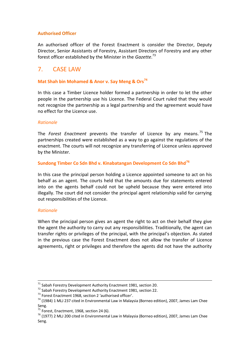#### **Authorised Officer**

An authorised officer of the Forest Enactment is consider the Director, Deputy Director, Senior Assistants of Forestry, Assistant Directors of Forestry and any other forest officer established by the Minister in the *Gazette*. 73

## 7. CASE LAW

#### **Mat Shah bin Mohamed & Anor v. Say Meng & Ors<sup>74</sup>**

In this case a Timber Licence holder formed a partnership in order to let the other people in the partnership use his Licence. The Federal Court ruled that they would not recognize the partnership as a legal partnership and the agreement would have no effect for the Licence use.

#### *Rationale*

The *Forest Enactment* prevents the transfer of Licence by any means. <sup>75</sup> The partnerships created were established as a way to go against the regulations of the enactment. The courts will not recognize any transferring of Licence unless approved by the Minister.

#### **Sundong Timber Co Sdn Bhd v. Kinabatangan Development Co Sdn Bhd<sup>76</sup>**

In this case the principal person holding a Licence appointed someone to act on his behalf as an agent. The courts held that the amounts due for statements entered into on the agents behalf could not be upheld because they were entered into illegally. The court did not consider the principal agent relationship valid for carrying out responsibilities of the Licence.

#### *Rationale*

l

When the principal person gives an agent the right to act on their behalf they give the agent the authority to carry out any responsibilities. Traditionally, the agent can transfer rights or privileges of the principal, with the principal's objection. As stated in the previous case the Forest Enactment does not allow the transfer of Licence agreements, right or privileges and therefore the agents did not have the authority

 $71$  Sabah Forestry Development Authority Enactment 1981, section 20.

<sup>72</sup> Sabah Forestry Development Authority Enactment 1981, section 22.

<sup>73</sup> Forest Enactment 1968, section 2 'authorised officer'.

 $74$  (1984) 1 MLJ 237 cited in Environmental Law in Malaysia (Borneo edition), 2007, James Lam Chee Seng.

 $75$  Forest, Enactment, 1968, section 24 (6).

 $76$  (1977) 2 MLJ 200 cited in Environmental Law in Malaysia (Borneo edition), 2007, James Lam Chee Seng.